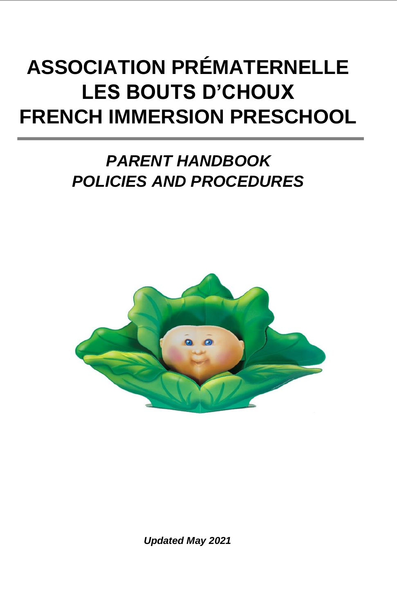# **ASSOCIATION PRÉMATERNELLE LES BOUTS D'CHOUX FRENCH IMMERSION PRESCHOOL**

# *PARENT HANDBOOK POLICIES AND PROCEDURES*



*Updated May 2021*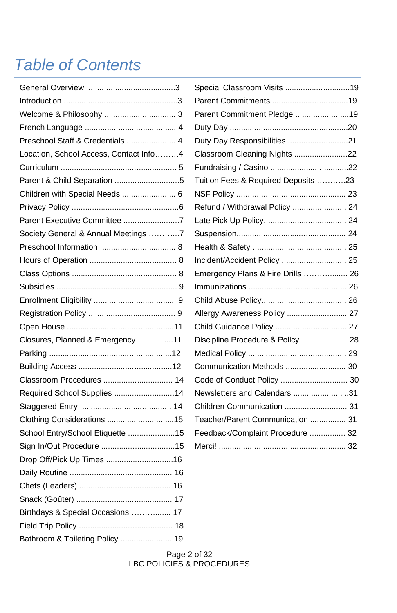# *Table of Contents*

| Preschool Staff & Credentials  4       |
|----------------------------------------|
| Location, School Access, Contact Info4 |
|                                        |
| Parent & Child Separation 5            |
| Children with Special Needs  6         |
|                                        |
| Parent Executive Committee 7           |
| Society General & Annual Meetings 7    |
|                                        |
|                                        |
|                                        |
|                                        |
|                                        |
|                                        |
|                                        |
| Closures, Planned & Emergency 11       |
|                                        |
|                                        |
| Classroom Procedures  14               |
| Required School Supplies 14            |
|                                        |
| Clothing Considerations 15             |
| School Entry/School Etiquette 15       |
|                                        |
| Drop Off/Pick Up Times 16              |
|                                        |
|                                        |
|                                        |
| Birthdays & Special Occasions  17      |
|                                        |
| Bathroom & Toileting Policy  19        |

| Special Classroom Visits 19         |  |
|-------------------------------------|--|
|                                     |  |
| Parent Commitment Pledge 19         |  |
|                                     |  |
| Duty Day Responsibilities 21        |  |
| Classroom Cleaning Nights 22        |  |
|                                     |  |
| Tuition Fees & Required Deposits 23 |  |
|                                     |  |
| Refund / Withdrawal Policy  24      |  |
|                                     |  |
|                                     |  |
|                                     |  |
| Incident/Accident Policy  25        |  |
| Emergency Plans & Fire Drills  26   |  |
|                                     |  |
|                                     |  |
| Allergy Awareness Policy  27        |  |
| Child Guidance Policy  27           |  |
| Discipline Procedure & Policy28     |  |
|                                     |  |
|                                     |  |
| Code of Conduct Policy  30          |  |
| Newsletters and Calendars 31        |  |
| Children Communication  31          |  |
| Teacher/Parent Communication  31    |  |
| Feedback/Complaint Procedure  32    |  |
|                                     |  |
|                                     |  |

#### Page 2 of 32 LBC POLICIES & PROCEDURES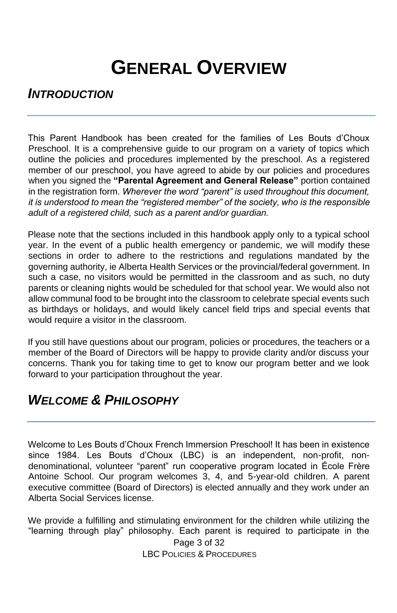# **GENERAL OVERVIEW**

#### *INTRODUCTION*

This Parent Handbook has been created for the families of Les Bouts d'Choux Preschool. It is a comprehensive guide to our program on a variety of topics which outline the policies and procedures implemented by the preschool. As a registered member of our preschool, you have agreed to abide by our policies and procedures when you signed the **"Parental Agreement and General Release"** portion contained in the registration form. *Wherever the word "parent" is used throughout this document, it is understood to mean the "registered member" of the society, who is the responsible adult of a registered child, such as a parent and/or guardian.*

Please note that the sections included in this handbook apply only to a typical school year. In the event of a public health emergency or pandemic, we will modify these sections in order to adhere to the restrictions and regulations mandated by the governing authority, ie Alberta Health Services or the provincial/federal government. In such a case, no visitors would be permitted in the classroom and as such, no duty parents or cleaning nights would be scheduled for that school year. We would also not allow communal food to be brought into the classroom to celebrate special events such as birthdays or holidays, and would likely cancel field trips and special events that would require a visitor in the classroom.

If you still have questions about our program, policies or procedures, the teachers or a member of the Board of Directors will be happy to provide clarity and/or discuss your concerns. Thank you for taking time to get to know our program better and we look forward to your participation throughout the year.

### *WELCOME & PHILOSOPHY*

Welcome to Les Bouts d'Choux French Immersion Preschool! It has been in existence since 1984. Les Bouts d'Choux (LBC) is an independent, non-profit, nondenominational, volunteer "parent" run cooperative program located in École Frère Antoine School. Our program welcomes 3, 4, and 5-year-old children. A parent executive committee (Board of Directors) is elected annually and they work under an Alberta Social Services license.

Page 3 of 32 We provide a fulfilling and stimulating environment for the children while utilizing the "learning through play" philosophy. Each parent is required to participate in the

LBC POLICIES & PROCEDURES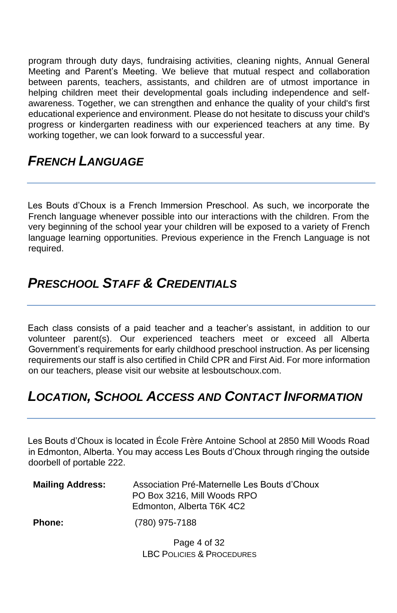program through duty days, fundraising activities, cleaning nights, Annual General Meeting and Parent's Meeting. We believe that mutual respect and collaboration between parents, teachers, assistants, and children are of utmost importance in helping children meet their developmental goals including independence and selfawareness. Together, we can strengthen and enhance the quality of your child's first educational experience and environment. Please do not hesitate to discuss your child's progress or kindergarten readiness with our experienced teachers at any time. By working together, we can look forward to a successful year.

#### *FRENCH LANGUAGE*

Les Bouts d'Choux is a French Immersion Preschool. As such, we incorporate the French language whenever possible into our interactions with the children. From the very beginning of the school year your children will be exposed to a variety of French language learning opportunities. Previous experience in the French Language is not required.

## *PRESCHOOL STAFF & CREDENTIALS*

Each class consists of a paid teacher and a teacher's assistant, in addition to our volunteer parent(s). Our experienced teachers meet or exceed all Alberta Government's requirements for early childhood preschool instruction. As per licensing requirements our staff is also certified in Child CPR and First Aid. For more information on our teachers, please visit our website at lesboutschoux.com.

# *LOCATION, SCHOOL ACCESS AND CONTACT INFORMATION*

Les Bouts d'Choux is located in École Frère Antoine School at 2850 Mill Woods Road in Edmonton, Alberta. You may access Les Bouts d'Choux through ringing the outside doorbell of portable 222.

| <b>Mailing Address:</b> | Association Pré-Maternelle Les Bouts d'Choux<br>PO Box 3216. Mill Woods RPO<br>Edmonton, Alberta T6K 4C2 |
|-------------------------|----------------------------------------------------------------------------------------------------------|
| <b>Phone:</b>           | (780) 975-7188                                                                                           |
|                         | Dogo $\Lambda$ of 22                                                                                     |

Page 4 of 32 LBC POLICIES & PROCEDURES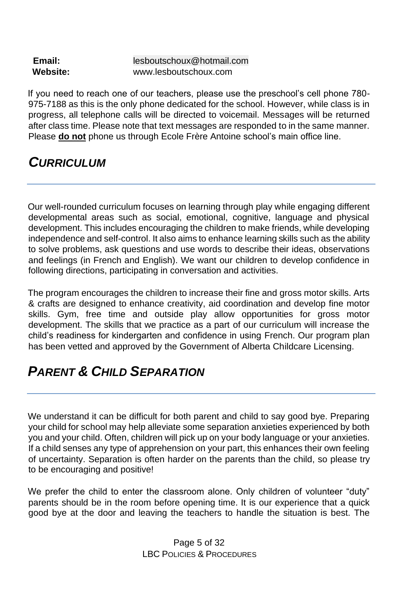| Email:   | lesboutschoux@hotmail.com |
|----------|---------------------------|
| Website: | www.lesboutschoux.com     |

If you need to reach one of our teachers, please use the preschool's cell phone 780- 975-7188 as this is the only phone dedicated for the school. However, while class is in progress, all telephone calls will be directed to voicemail. Messages will be returned after class time. Please note that text messages are responded to in the same manner. Please **do not** phone us through Ecole Frère Antoine school's main office line.

#### *CURRICULUM*

Our well-rounded curriculum focuses on learning through play while engaging different developmental areas such as social, emotional, cognitive, language and physical development. This includes encouraging the children to make friends, while developing independence and self-control. It also aims to enhance learning skills such as the ability to solve problems, ask questions and use words to describe their ideas, observations and feelings (in French and English). We want our children to develop confidence in following directions, participating in conversation and activities.

The program encourages the children to increase their fine and gross motor skills. Arts & crafts are designed to enhance creativity, aid coordination and develop fine motor skills. Gym, free time and outside play allow opportunities for gross motor development. The skills that we practice as a part of our curriculum will increase the child's readiness for kindergarten and confidence in using French. Our program plan has been vetted and approved by the Government of Alberta Childcare Licensing.

# *PARENT & CHILD SEPARATION*

We understand it can be difficult for both parent and child to say good bye. Preparing your child for school may help alleviate some separation anxieties experienced by both you and your child. Often, children will pick up on your body language or your anxieties. If a child senses any type of apprehension on your part, this enhances their own feeling of uncertainty. Separation is often harder on the parents than the child, so please try to be encouraging and positive!

We prefer the child to enter the classroom alone. Only children of volunteer "duty" parents should be in the room before opening time. It is our experience that a quick good bye at the door and leaving the teachers to handle the situation is best. The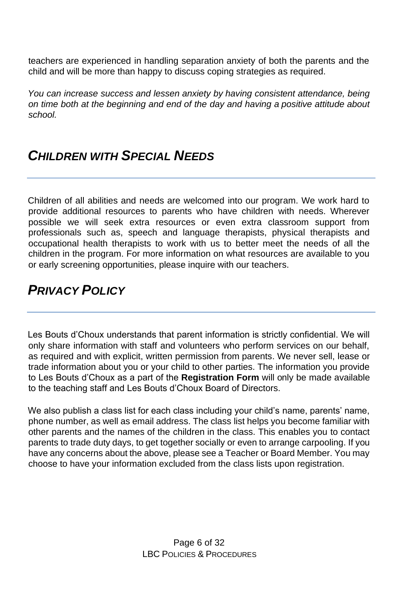teachers are experienced in handling separation anxiety of both the parents and the child and will be more than happy to discuss coping strategies as required.

*You can increase success and lessen anxiety by having consistent attendance, being on time both at the beginning and end of the day and having a positive attitude about school.* 

### *CHILDREN WITH SPECIAL NEEDS*

Children of all abilities and needs are welcomed into our program. We work hard to provide additional resources to parents who have children with needs. Wherever possible we will seek extra resources or even extra classroom support from professionals such as, speech and language therapists, physical therapists and occupational health therapists to work with us to better meet the needs of all the children in the program. For more information on what resources are available to you or early screening opportunities, please inquire with our teachers.

# *PRIVACY POLICY*

Les Bouts d'Choux understands that parent information is strictly confidential. We will only share information with staff and volunteers who perform services on our behalf, as required and with explicit, written permission from parents. We never sell, lease or trade information about you or your child to other parties. The information you provide to Les Bouts d'Choux as a part of the **Registration Form** will only be made available to the teaching staff and Les Bouts d'Choux Board of Directors.

We also publish a class list for each class including your child's name, parents' name, phone number, as well as email address. The class list helps you become familiar with other parents and the names of the children in the class. This enables you to contact parents to trade duty days, to get together socially or even to arrange carpooling. If you have any concerns about the above, please see a Teacher or Board Member. You may choose to have your information excluded from the class lists upon registration.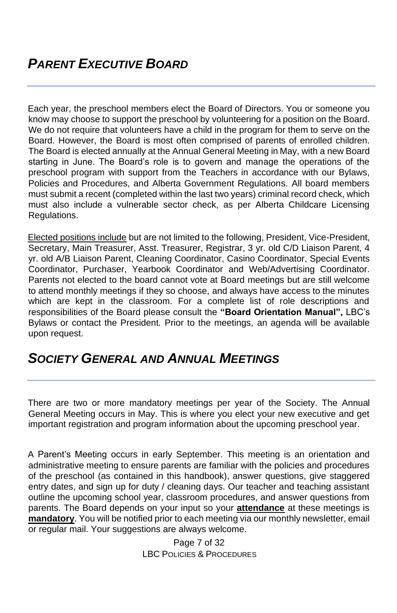Each year, the preschool members elect the Board of Directors. You or someone you know may choose to support the preschool by volunteering for a position on the Board. We do not require that volunteers have a child in the program for them to serve on the Board. However, the Board is most often comprised of parents of enrolled children. The Board is elected annually at the Annual General Meeting in May, with a new Board starting in June. The Board's role is to govern and manage the operations of the preschool program with support from the Teachers in accordance with our Bylaws, Policies and Procedures, and Alberta Government Regulations. All board members must submit a recent (completed within the last two years) criminal record check, which must also include a vulnerable sector check, as per Alberta Childcare Licensing Regulations.

Elected positions include but are not limited to the following, President, Vice-President, Secretary, Main Treasurer, Asst. Treasurer, Registrar, 3 yr. old C/D Liaison Parent, 4 yr. old A/B Liaison Parent, Cleaning Coordinator, Casino Coordinator, Special Events Coordinator, Purchaser, Yearbook Coordinator and Web/Advertising Coordinator. Parents not elected to the board cannot vote at Board meetings but are still welcome to attend monthly meetings if they so choose, and always have access to the minutes which are kept in the classroom. For a complete list of role descriptions and responsibilities of the Board please consult the **"Board Orientation Manual",** LBC's Bylaws or contact the President*.* Prior to the meetings, an agenda will be available upon request.

#### *SOCIETY GENERAL AND ANNUAL MEETINGS*

There are two or more mandatory meetings per year of the Society. The Annual General Meeting occurs in May. This is where you elect your new executive and get important registration and program information about the upcoming preschool year.

A Parent's Meeting occurs in early September. This meeting is an orientation and administrative meeting to ensure parents are familiar with the policies and procedures of the preschool (as contained in this handbook), answer questions, give staggered entry dates, and sign up for duty / cleaning days. Our teacher and teaching assistant outline the upcoming school year, classroom procedures, and answer questions from parents. The Board depends on your input so your **attendance** at these meetings is **mandatory**. You will be notified prior to each meeting via our monthly newsletter, email or regular mail. Your suggestions are always welcome.

> Page 7 of 32 LBC POLICIES & PROCEDURES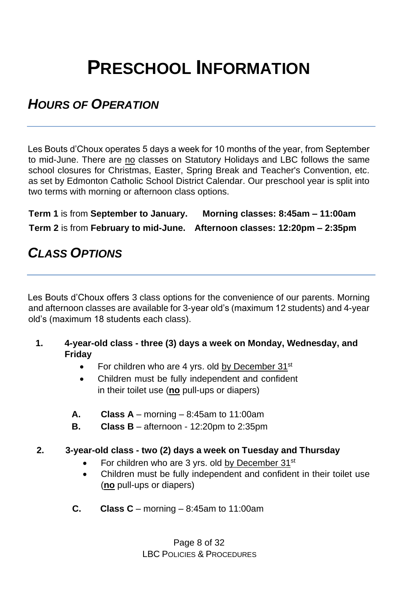# **PRESCHOOL INFORMATION**

### *HOURS OF OPERATION*

Les Bouts d'Choux operates 5 days a week for 10 months of the year, from September to mid-June. There are no classes on Statutory Holidays and LBC follows the same school closures for Christmas, Easter, Spring Break and Teacher's Convention, etc. as set by Edmonton Catholic School District Calendar. Our preschool year is split into two terms with morning or afternoon class options.

**Term 1** is from **September to January. Morning classes: 8:45am – 11:00am Term 2** is from **February to mid-June. Afternoon classes: 12:20pm – 2:35pm**

# *CLASS OPTIONS*

Les Bouts d'Choux offers 3 class options for the convenience of our parents. Morning and afternoon classes are available for 3-year old's (maximum 12 students) and 4-year old's (maximum 18 students each class).

- **1. 4-year-old class - three (3) days a week on Monday, Wednesday, and Friday**
	- For children who are 4 yrs. old by December  $31^{st}$
	- Children must be fully independent and confident in their toilet use (**no** pull-ups or diapers)
	- **A. Class A** morning 8:45am to 11:00am
	- **B. Class B** afternoon 12:20pm to 2:35pm

#### **2. 3-year-old class - two (2) days a week on Tuesday and Thursday**

- For children who are 3 yrs. old by December 31<sup>st</sup>
- Children must be fully independent and confident in their toilet use (**no** pull-ups or diapers)
- **C. Class C** morning 8:45am to 11:00am

Page 8 of 32 LBC POLICIES & PROCEDURES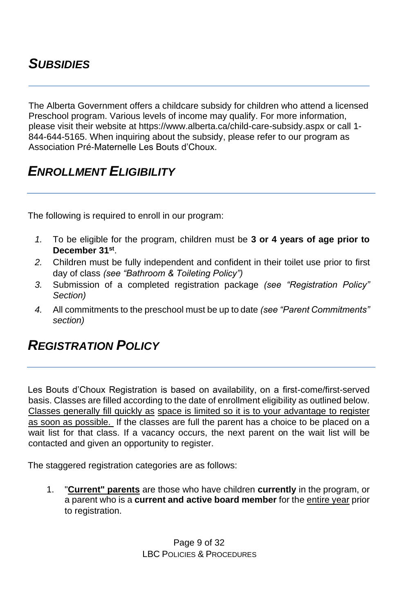## *SUBSIDIES*

The Alberta Government offers a childcare subsidy for children who attend a licensed Preschool program. Various levels of income may qualify. For more information, please visit their website at https://www.alberta.ca/child-care-subsidy.aspx or cal[l 1-](tel:+18446445165) [844-644-5165.](tel:+18446445165) When inquiring about the subsidy, please refer to our program as Association Pré-Maternelle Les Bouts d'Choux.

### *ENROLLMENT ELIGIBILITY*

The following is required to enroll in our program:

- *1.* To be eligible for the program, children must be **3 or 4 years of age prior to December 31st** .
- *2.* Children must be fully independent and confident in their toilet use prior to first day of class *(see "Bathroom & Toileting Policy")*
- *3.* Submission of a completed registration package *(see "Registration Policy" Section)*
- *4.* All commitments to the preschool must be up to date *(see "Parent Commitments" section)*

#### *REGISTRATION POLICY*

Les Bouts d'Choux Registration is based on availability, on a first-come/first-served basis. Classes are filled according to the date of enrollment eligibility as outlined below. Classes generally fill quickly as space is limited so it is to your advantage to register as soon as possible. If the classes are full the parent has a choice to be placed on a wait list for that class. If a vacancy occurs, the next parent on the wait list will be contacted and given an opportunity to register.

The staggered registration categories are as follows:

1. "**Current" parents** are those who have children **currently** in the program, or a parent who is a **current and active board member** for the entire year prior to registration.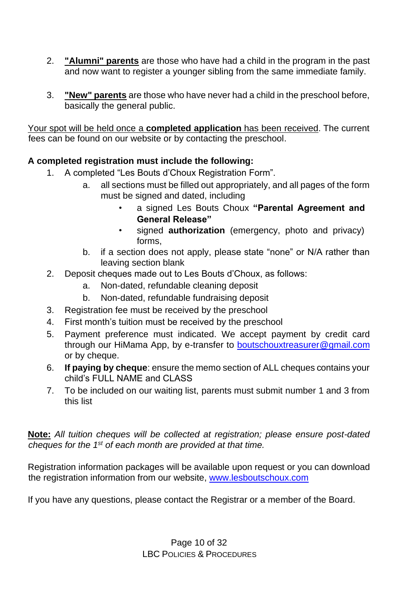- 2. **"Alumni" parents** are those who have had a child in the program in the past and now want to register a younger sibling from the same immediate family.
- 3. **"New" parents** are those who have never had a child in the preschool before, basically the general public.

Your spot will be held once a **completed application** has been received. The current fees can be found on our website or by contacting the preschool.

#### **A completed registration must include the following:**

- 1. A completed "Les Bouts d'Choux Registration Form".
	- a. all sections must be filled out appropriately, and all pages of the form must be signed and dated, including
		- a signed Les Bouts Choux **"Parental Agreement and General Release"**
		- signed **authorization** (emergency, photo and privacy) forms,
	- b. if a section does not apply, please state "none" or N/A rather than leaving section blank
- 2. Deposit cheques made out to Les Bouts d'Choux, as follows:
	- a. Non-dated, refundable cleaning deposit
	- b. Non-dated, refundable fundraising deposit
- 3. Registration fee must be received by the preschool
- 4. First month's tuition must be received by the preschool
- 5. Payment preference must indicated. We accept payment by credit card through our HiMama App, by e-transfer to **boutschouxtreasurer@gmail.com** or by cheque.
- 6. **If paying by cheque**: ensure the memo section of ALL cheques contains your child's FULL NAME and CLASS
- 7. To be included on our waiting list, parents must submit number 1 and 3 from this list

**Note:** *All tuition cheques will be collected at registration; please ensure post-dated cheques for the 1st of each month are provided at that time.*

Registration information packages will be available upon request or yo[u c](http://www.lesboutschoux.com/)an download the registration information from our websit[e, www.lesboutschoux.com](http://www.lesboutschoux.com/)

If you have any questions, please contact the Registrar or a member of the Board.

Page 10 of 32 LBC POLICIES & PROCEDURES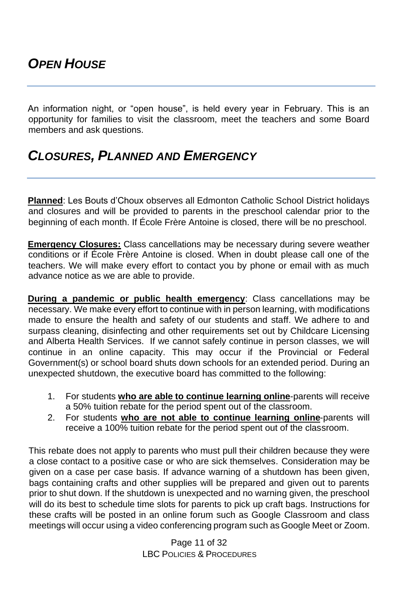An information night, or "open house", is held every year in February. This is an opportunity for families to visit the classroom, meet the teachers and some Board members and ask questions.

## *CLOSURES, PLANNED AND EMERGENCY*

**Planned**: Les Bouts d'Choux observes all Edmonton Catholic School District holidays and closures and will be provided to parents in the preschool calendar prior to the beginning of each month. If École Frère Antoine is closed, there will be no preschool.

**Emergency Closures:** Class cancellations may be necessary during severe weather conditions or if École Frère Antoine is closed. When in doubt please call one of the teachers. We will make every effort to contact you by phone or email with as much advance notice as we are able to provide.

**During a pandemic or public health emergency**: Class cancellations may be necessary. We make every effort to continue with in person learning, with modifications made to ensure the health and safety of our students and staff. We adhere to and surpass cleaning, disinfecting and other requirements set out by Childcare Licensing and Alberta Health Services. If we cannot safely continue in person classes, we will continue in an online capacity. This may occur if the Provincial or Federal Government(s) or school board shuts down schools for an extended period. During an unexpected shutdown, the executive board has committed to the following:

- 1. For students **who are able to continue learning online**-parents will receive a 50% tuition rebate for the period spent out of the classroom.
- 2. For students **who are not able to continue learning online**-parents will receive a 100% tuition rebate for the period spent out of the classroom.

This rebate does not apply to parents who must pull their children because they were a close contact to a positive case or who are sick themselves. Consideration may be given on a case per case basis. If advance warning of a shutdown has been given, bags containing crafts and other supplies will be prepared and given out to parents prior to shut down. If the shutdown is unexpected and no warning given, the preschool will do its best to schedule time slots for parents to pick up craft bags. Instructions for these crafts will be posted in an online forum such as Google Classroom and class meetings will occur using a video conferencing program such as Google Meet or Zoom.

> Page 11 of 32 LBC POLICIES & PROCEDURES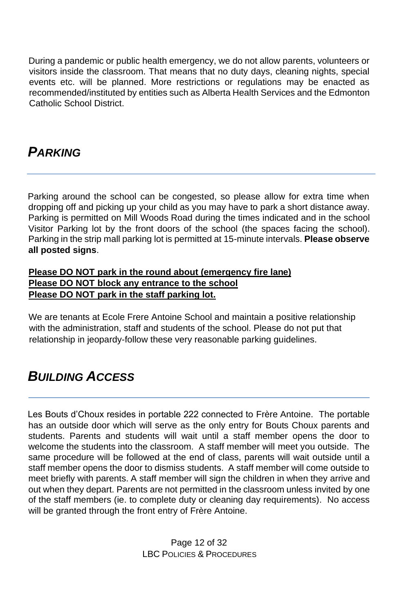During a pandemic or public health emergency, we do not allow parents, volunteers or visitors inside the classroom. That means that no duty days, cleaning nights, special events etc. will be planned. More restrictions or regulations may be enacted as recommended/instituted by entities such as Alberta Health Services and the Edmonton Catholic School District.

# *PARKING*

Parking around the school can be congested, so please allow for extra time when dropping off and picking up your child as you may have to park a short distance away. Parking is permitted on Mill Woods Road during the times indicated and in the school Visitor Parking lot by the front doors of the school (the spaces facing the school). Parking in the strip mall parking lot is permitted at 15-minute intervals. **Please observe all posted signs**.

#### **Please DO NOT park in the round about (emergency fire lane) Please DO NOT block any entrance to the school Please DO NOT park in the staff parking lot.**

We are tenants at Ecole Frere Antoine School and maintain a positive relationship with the administration, staff and students of the school. Please do not put that relationship in jeopardy-follow these very reasonable parking guidelines.

# *BUILDING ACCESS*

Les Bouts d'Choux resides in portable 222 connected to Frère Antoine. The portable has an outside door which will serve as the only entry for Bouts Choux parents and students. Parents and students will wait until a staff member opens the door to welcome the students into the classroom. A staff member will meet you outside. The same procedure will be followed at the end of class, parents will wait outside until a staff member opens the door to dismiss students. A staff member will come outside to meet briefly with parents. A staff member will sign the children in when they arrive and out when they depart. Parents are not permitted in the classroom unless invited by one of the staff members (ie. to complete duty or cleaning day requirements). No access will be granted through the front entry of Frère Antoine.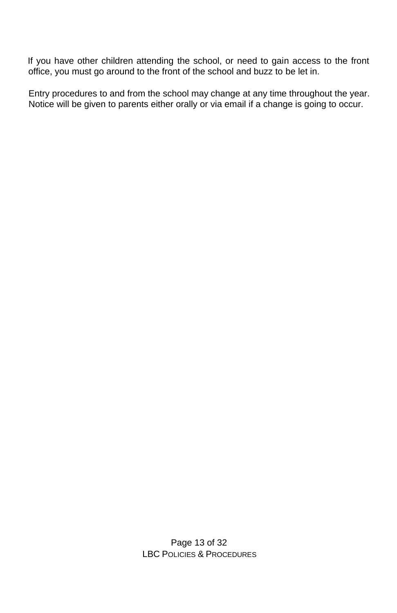If you have other children attending the school, or need to gain access to the front office, you must go around to the front of the school and buzz to be let in.

Entry procedures to and from the school may change at any time throughout the year. Notice will be given to parents either orally or via email if a change is going to occur.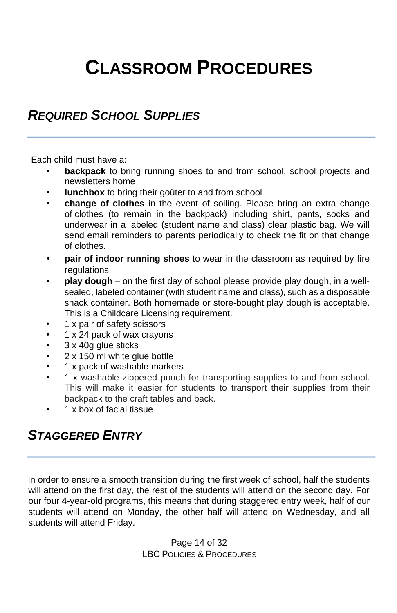# **CLASSROOM PROCEDURES**

#### *REQUIRED SCHOOL SUPPLIES*

Each child must have a:

- **backpack** to bring running shoes to and from school, school projects and newsletters home
- **lunchbox** to bring their goûter to and from school
- **change of clothes** in the event of soiling. Please bring an extra change of clothes (to remain in the backpack) including shirt, pants, socks and underwear in a labeled (student name and class) clear plastic bag. We will send email reminders to parents periodically to check the fit on that change of clothes.
- **pair of indoor running shoes** to wear in the classroom as required by fire regulations
- **play dough**  on the first day of school please provide play dough, in a wellsealed, labeled container (with student name and class), such as a disposable snack container. Both homemade or store-bought play dough is acceptable. This is a Childcare Licensing requirement.
- 1 x pair of safety scissors
- 1 x 24 pack of wax crayons
- 3 x 40g glue sticks
- 2 x 150 ml white glue bottle
- 1 x pack of washable markers
- 1 x washable zippered pouch for transporting supplies to and from school. This will make it easier for students to transport their supplies from their backpack to the craft tables and back.
- 1 x box of facial tissue

# *STAGGERED ENTRY*

In order to ensure a smooth transition during the first week of school, half the students will attend on the first day, the rest of the students will attend on the second day. For our four 4-year-old programs, this means that during staggered entry week, half of our students will attend on Monday, the other half will attend on Wednesday, and all students will attend Friday.

> Page 14 of 32 LBC POLICIES & PROCEDURES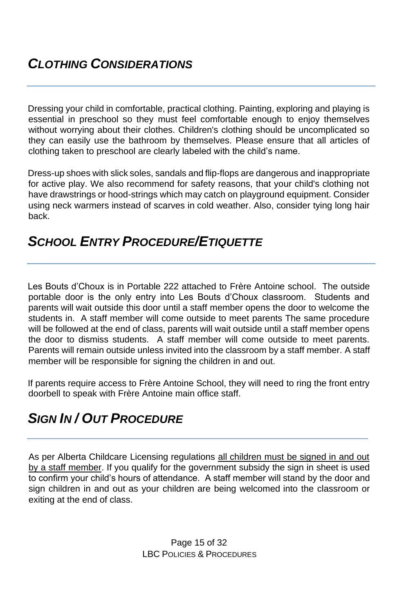Dressing your child in comfortable, practical clothing. Painting, exploring and playing is essential in preschool so they must feel comfortable enough to enjoy themselves without worrying about their clothes. Children's clothing should be uncomplicated so they can easily use the bathroom by themselves. Please ensure that all articles of clothing taken to preschool are clearly labeled with the child's name.

Dress-up shoes with slick soles, sandals and flip-flops are dangerous and inappropriate for active play. We also recommend for safety reasons, that your child's clothing not have drawstrings or hood-strings which may catch on playground equipment. Consider using neck warmers instead of scarves in cold weather. Also, consider tying long hair back.

### *SCHOOL ENTRY PROCEDURE/ETIQUETTE*

Les Bouts d'Choux is in Portable 222 attached to Frère Antoine school. The outside portable door is the only entry into Les Bouts d'Choux classroom. Students and parents will wait outside this door until a staff member opens the door to welcome the students in. A staff member will come outside to meet parents The same procedure will be followed at the end of class, parents will wait outside until a staff member opens the door to dismiss students. A staff member will come outside to meet parents. Parents will remain outside unless invited into the classroom by a staff member. A staff member will be responsible for signing the children in and out.

If parents require access to Frère Antoine School, they will need to ring the front entry doorbell to speak with Frère Antoine main office staff.

# *SIGN IN / OUT PROCEDURE*

As per Alberta Childcare Licensing regulations all children must be signed in and out by a staff member. If you qualify for the government subsidy the sign in sheet is used to confirm your child's hours of attendance. A staff member will stand by the door and sign children in and out as your children are being welcomed into the classroom or exiting at the end of class.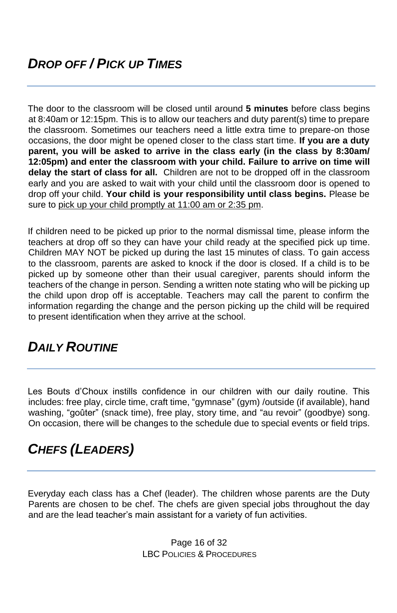The door to the classroom will be closed until around **5 minutes** before class begins at 8:40am or 12:15pm. This is to allow our teachers and duty parent(s) time to prepare the classroom. Sometimes our teachers need a little extra time to prepare-on those occasions, the door might be opened closer to the class start time. **If you are a duty parent, you will be asked to arrive in the class early (in the class by 8:30am/ 12:05pm) and enter the classroom with your child. Failure to arrive on time will delay the start of class for all.** Children are not to be dropped off in the classroom early and you are asked to wait with your child until the classroom door is opened to drop off your child. **Your child is your responsibility until class begins.** Please be sure to pick up your child promptly at 11:00 am or 2:35 pm.

If children need to be picked up prior to the normal dismissal time, please inform the teachers at drop off so they can have your child ready at the specified pick up time. Children MAY NOT be picked up during the last 15 minutes of class. To gain access to the classroom, parents are asked to knock if the door is closed. If a child is to be picked up by someone other than their usual caregiver, parents should inform the teachers of the change in person. Sending a written note stating who will be picking up the child upon drop off is acceptable. Teachers may call the parent to confirm the information regarding the change and the person picking up the child will be required to present identification when they arrive at the school.

# *DAILY ROUTINE*

Les Bouts d'Choux instills confidence in our children with our daily routine. This includes: free play, circle time, craft time, "gymnase" (gym) /outside (if available), hand washing, "goûter" (snack time), free play, story time, and "au revoir" (goodbye) song. On occasion, there will be changes to the schedule due to special events or field trips.

# *CHEFS (LEADERS)*

Everyday each class has a Chef (leader). The children whose parents are the Duty Parents are chosen to be chef. The chefs are given special jobs throughout the day and are the lead teacher's main assistant for a variety of fun activities.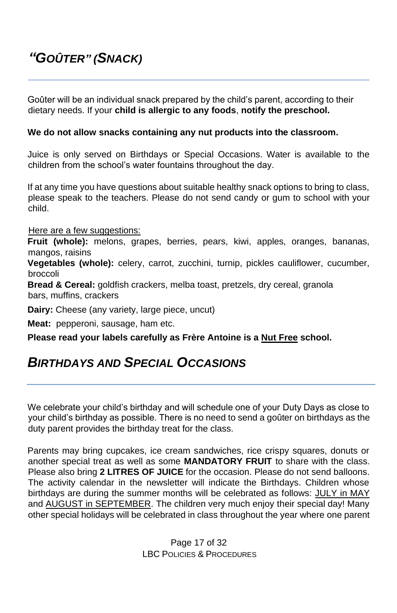# *"GOÛTER" (SNACK)*

Goûter will be an individual snack prepared by the child's parent, according to their dietary needs. If your **child is allergic to any foods**, **notify the preschool.**

#### **We do not allow snacks containing any nut products into the classroom.**

Juice is only served on Birthdays or Special Occasions. Water is available to the children from the school's water fountains throughout the day.

If at any time you have questions about suitable healthy snack options to bring to class, please speak to the teachers. Please do not send candy or gum to school with your child.

Here are a few suggestions:

**Fruit (whole):** melons, grapes, berries, pears, kiwi, apples, oranges, bananas, mangos, raisins

**Vegetables (whole):** celery, carrot, zucchini, turnip, pickles cauliflower, cucumber, broccoli

**Bread & Cereal:** goldfish crackers, melba toast, pretzels, dry cereal, granola bars, muffins, crackers

**Dairy:** Cheese (any variety, large piece, uncut)

**Meat:** pepperoni, sausage, ham etc.

**Please read your labels carefully as Frère Antoine is a Nut Free school.**

#### *BIRTHDAYS AND SPECIAL OCCASIONS*

We celebrate your child's birthday and will schedule one of your Duty Days as close to your child's birthday as possible. There is no need to send a goûter on birthdays as the duty parent provides the birthday treat for the class.

Parents may bring cupcakes, ice cream sandwiches, rice crispy squares, donuts or another special treat as well as some **MANDATORY FRUIT** to share with the class. Please also bring **2 LITRES OF JUICE** for the occasion. Please do not send balloons. The activity calendar in the newsletter will indicate the Birthdays. Children whose birthdays are during the summer months will be celebrated as follows: JULY in MAY and AUGUST in SEPTEMBER. The children very much enjoy their special day! Many other special holidays will be celebrated in class throughout the year where one parent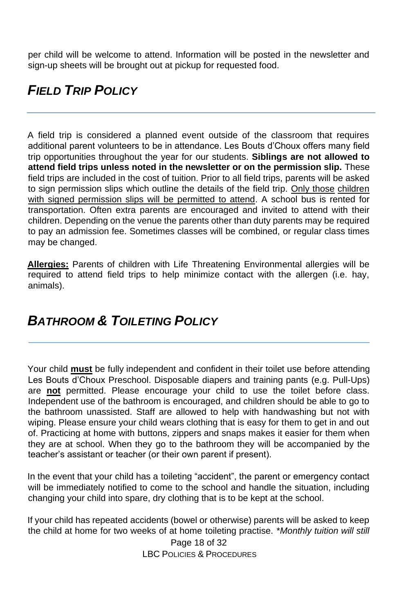per child will be welcome to attend. Information will be posted in the newsletter and sign-up sheets will be brought out at pickup for requested food.

# *FIELD TRIP POLICY*

A field trip is considered a planned event outside of the classroom that requires additional parent volunteers to be in attendance. Les Bouts d'Choux offers many field trip opportunities throughout the year for our students. **Siblings are not allowed to attend field trips unless noted in the newsletter or on the permission slip.** These field trips are included in the cost of tuition. Prior to all field trips, parents will be asked to sign permission slips which outline the details of the field trip. Only those children with signed permission slips will be permitted to attend. A school bus is rented for transportation. Often extra parents are encouraged and invited to attend with their children. Depending on the venue the parents other than duty parents may be required to pay an admission fee. Sometimes classes will be combined, or regular class times may be changed.

**Allergies:** Parents of children with Life Threatening Environmental allergies will be required to attend field trips to help minimize contact with the allergen (i.e. hay, animals).

### *BATHROOM & TOILETING POLICY*

Your child **must** be fully independent and confident in their toilet use before attending Les Bouts d'Choux Preschool. Disposable diapers and training pants (e.g. Pull-Ups) are **not** permitted. Please encourage your child to use the toilet before class. Independent use of the bathroom is encouraged, and children should be able to go to the bathroom unassisted. Staff are allowed to help with handwashing but not with wiping. Please ensure your child wears clothing that is easy for them to get in and out of. Practicing at home with buttons, zippers and snaps makes it easier for them when they are at school. When they go to the bathroom they will be accompanied by the teacher's assistant or teacher (or their own parent if present).

In the event that your child has a toileting "accident", the parent or emergency contact will be immediately notified to come to the school and handle the situation, including changing your child into spare, dry clothing that is to be kept at the school.

If your child has repeated accidents (bowel or otherwise) parents will be asked to keep the child at home for two weeks of at home toileting practise. *\*Monthly tuition will still* 

> Page 18 of 32 LBC POLICIES & PROCEDURES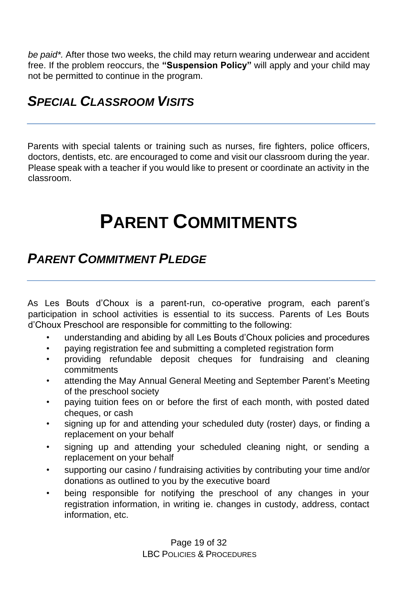*be paid\*.* After those two weeks, the child may return wearing underwear and accident free. If the problem reoccurs, the **"Suspension Policy"** will apply and your child may not be permitted to continue in the program.

# *SPECIAL CLASSROOM VISITS*

Parents with special talents or training such as nurses, fire fighters, police officers, doctors, dentists, etc. are encouraged to come and visit our classroom during the year. Please speak with a teacher if you would like to present or coordinate an activity in the classroom.

# **PARENT COMMITMENTS**

### **PARENT COMMITMENT PI EDGE**

As Les Bouts d'Choux is a parent-run, co-operative program, each parent's participation in school activities is essential to its success. Parents of Les Bouts d'Choux Preschool are responsible for committing to the following:

- understanding and abiding by all Les Bouts d'Choux policies and procedures
- paying registration fee and submitting a completed registration form
- providing refundable deposit cheques for fundraising and cleaning commitments
- attending the May Annual General Meeting and September Parent's Meeting of the preschool society
- paying tuition fees on or before the first of each month, with posted dated cheques, or cash
- signing up for and attending your scheduled duty (roster) days, or finding a replacement on your behalf
- signing up and attending your scheduled cleaning night, or sending a replacement on your behalf
- supporting our casino / fundraising activities by contributing your time and/or donations as outlined to you by the executive board
- being responsible for notifying the preschool of any changes in your registration information, in writing ie. changes in custody, address, contact information, etc.

Page 19 of 32 LBC POLICIES & PROCEDURES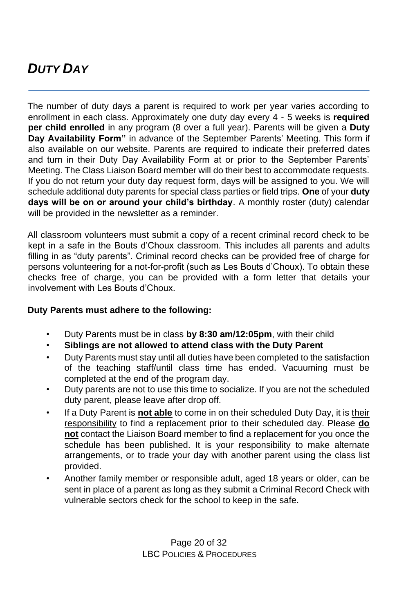# *DUTY DAY*

The number of duty days a parent is required to work per year varies according to enrollment in each class. Approximately one duty day every 4 - 5 weeks is **required per child enrolled** in any program (8 over a full year). Parents will be given a **Duty Day Availability Form"** in advance of the September Parents' Meeting. This form if also available on our website. Parents are required to indicate their preferred dates and turn in their Duty Day Availability Form at or prior to the September Parents' Meeting. The Class Liaison Board member will do their best to accommodate requests. If you do not return your duty day request form, days will be assigned to you. We will schedule additional duty parents for special class parties or field trips. **One** of your **duty days will be on or around your child's birthday**. A monthly roster (duty) calendar will be provided in the newsletter as a reminder.

All classroom volunteers must submit a copy of a recent criminal record check to be kept in a safe in the Bouts d'Choux classroom. This includes all parents and adults filling in as "duty parents". Criminal record checks can be provided free of charge for persons volunteering for a not-for-profit (such as Les Bouts d'Choux). To obtain these checks free of charge, you can be provided with a form letter that details your involvement with Les Bouts d'Choux.

#### **Duty Parents must adhere to the following:**

- Duty Parents must be in class **by 8:30 am/12:05pm**, with their child
- **Siblings are not allowed to attend class with the Duty Parent**
- Duty Parents must stay until all duties have been completed to the satisfaction of the teaching staff/until class time has ended. Vacuuming must be completed at the end of the program day.
- Duty parents are not to use this time to socialize. If you are not the scheduled duty parent, please leave after drop off.
- If a Duty Parent is **not able** to come in on their scheduled Duty Day, it is their responsibility to find a replacement prior to their scheduled day. Please **do not** contact the Liaison Board member to find a replacement for you once the schedule has been published. It is your responsibility to make alternate arrangements, or to trade your day with another parent using the class list provided.
- Another family member or responsible adult, aged 18 years or older, can be sent in place of a parent as long as they submit a Criminal Record Check with vulnerable sectors check for the school to keep in the safe.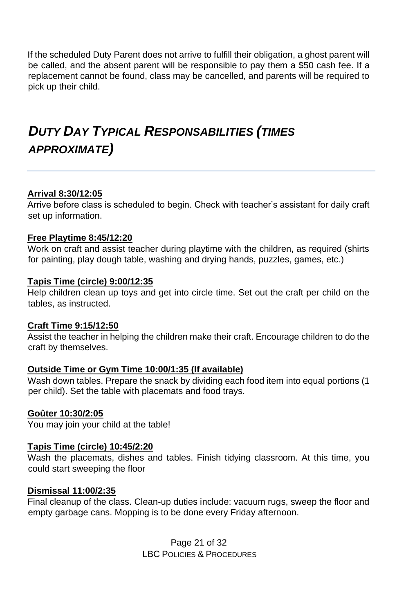If the scheduled Duty Parent does not arrive to fulfill their obligation, a ghost parent will be called, and the absent parent will be responsible to pay them a \$50 cash fee. If a replacement cannot be found, class may be cancelled, and parents will be required to pick up their child.

# *DUTY DAY TYPICAL RESPONSABILITIES (TIMES APPROXIMATE)*

#### **Arrival 8:30/12:05**

Arrive before class is scheduled to begin. Check with teacher's assistant for daily craft set up information.

#### **Free Playtime 8:45/12:20**

Work on craft and assist teacher during playtime with the children, as required (shirts for painting, play dough table, washing and drying hands, puzzles, games, etc.)

#### **Tapis Time (circle) 9:00/12:35**

Help children clean up toys and get into circle time. Set out the craft per child on the tables, as instructed.

#### **Craft Time 9:15/12:50**

Assist the teacher in helping the children make their craft. Encourage children to do the craft by themselves.

#### **Outside Time or Gym Time 10:00/1:35 (If available)**

Wash down tables. Prepare the snack by dividing each food item into equal portions (1 per child). Set the table with placemats and food trays.

#### **Goûter 10:30/2:05**

You may join your child at the table!

#### **Tapis Time (circle) 10:45/2:20**

Wash the placemats, dishes and tables. Finish tidying classroom. At this time, you could start sweeping the floor

#### **Dismissal 11:00/2:35**

Final cleanup of the class. Clean-up duties include: vacuum rugs, sweep the floor and empty garbage cans. Mopping is to be done every Friday afternoon.

> Page 21 of 32 LBC POLICIES & PROCEDURES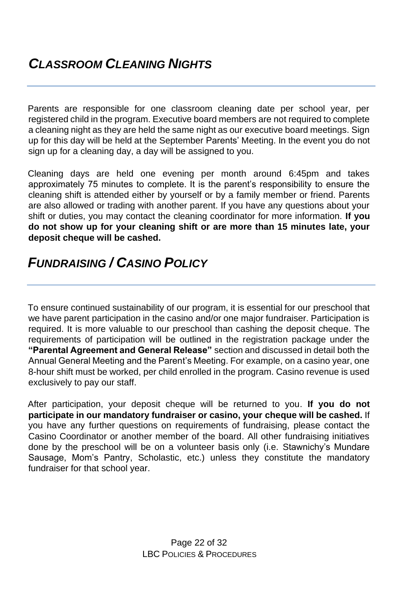Parents are responsible for one classroom cleaning date per school year, per registered child in the program. Executive board members are not required to complete a cleaning night as they are held the same night as our executive board meetings. Sign up for this day will be held at the September Parents' Meeting. In the event you do not sign up for a cleaning day, a day will be assigned to you.

Cleaning days are held one evening per month around 6:45pm and takes approximately 75 minutes to complete. It is the parent's responsibility to ensure the cleaning shift is attended either by yourself or by a family member or friend. Parents are also allowed or trading with another parent. If you have any questions about your shift or duties, you may contact the cleaning coordinator for more information. **If you do not show up for your cleaning shift or are more than 15 minutes late, your deposit cheque will be cashed.**

### *FUNDRAISING / CASINO POLICY*

To ensure continued sustainability of our program, it is essential for our preschool that we have parent participation in the casino and/or one major fundraiser. Participation is required. It is more valuable to our preschool than cashing the deposit cheque. The requirements of participation will be outlined in the registration package under the **"Parental Agreement and General Release"** section and discussed in detail both the Annual General Meeting and the Parent's Meeting. For example, on a casino year, one 8-hour shift must be worked, per child enrolled in the program. Casino revenue is used exclusively to pay our staff.

After participation, your deposit cheque will be returned to you. **If you do not participate in our mandatory fundraiser or casino, your cheque will be cashed.** If you have any further questions on requirements of fundraising, please contact the Casino Coordinator or another member of the board. All other fundraising initiatives done by the preschool will be on a volunteer basis only (i.e. Stawnichy's Mundare Sausage, Mom's Pantry, Scholastic, etc.) unless they constitute the mandatory fundraiser for that school year.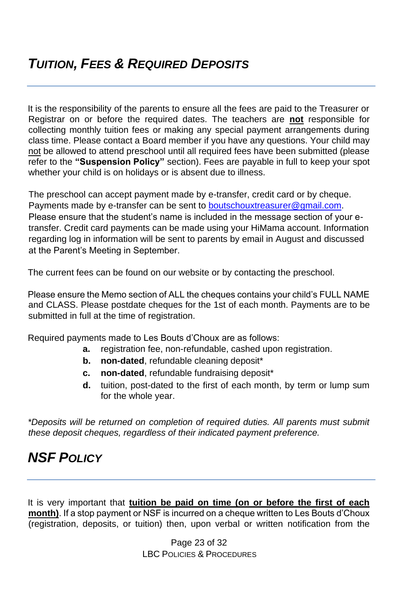It is the responsibility of the parents to ensure all the fees are paid to the Treasurer or Registrar on or before the required dates. The teachers are **not** responsible for collecting monthly tuition fees or making any special payment arrangements during class time. Please contact a Board member if you have any questions. Your child may not be allowed to attend preschool until all required fees have been submitted (please refer to the **"Suspension Policy"** section). Fees are payable in full to keep your spot whether your child is on holidays or is absent due to illness.

The preschool can accept payment made by e-transfer, credit card or by cheque. Payments made by e-transfer can be sent to [boutschouxtreasurer@gmail.com.](mailto:boutschouxtreasurer@gmail.com) Please ensure that the student's name is included in the message section of your etransfer. Credit card payments can be made using your HiMama account. Information regarding log in information will be sent to parents by email in August and discussed at the Parent's Meeting in September.

The current fees can be found on our website or by contacting the preschool.

Please ensure the Memo section of ALL the cheques contains your child's FULL NAME and CLASS. Please postdate cheques for the 1st of each month. Payments are to be submitted in full at the time of registration.

Required payments made to Les Bouts d'Choux are as follows:

- **a.** registration fee, non-refundable, cashed upon registration.
- **b. non-dated**, refundable cleaning deposit\*
- **c. non-dated**, refundable fundraising deposit\*
- **d.** tuition, post-dated to the first of each month, by term or lump sum for the whole year.

*\*Deposits will be returned on completion of required duties. All parents must submit these deposit cheques, regardless of their indicated payment preference.* 

# *NSF POLICY*

It is very important that **tuition be paid on time (on or before the first of each month)**. If a stop payment or NSF is incurred on a cheque written to Les Bouts d'Choux (registration, deposits, or tuition) then, upon verbal or written notification from the

> Page 23 of 32 LBC POLICIES & PROCEDURES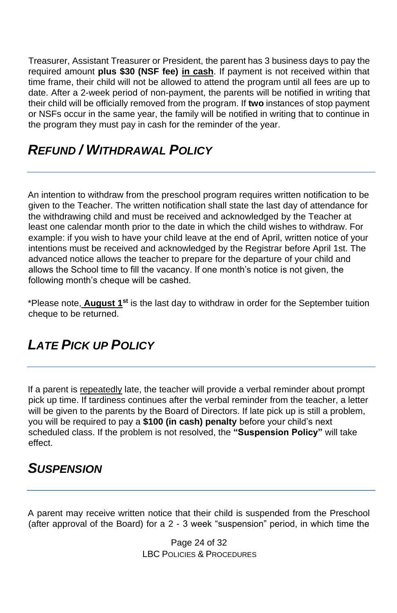Treasurer, Assistant Treasurer or President, the parent has 3 business days to pay the required amount **plus \$30 (NSF fee) in cash**. If payment is not received within that time frame, their child will not be allowed to attend the program until all fees are up to date. After a 2-week period of non-payment, the parents will be notified in writing that their child will be officially removed from the program. If **two** instances of stop payment or NSFs occur in the same year, the family will be notified in writing that to continue in the program they must pay in cash for the reminder of the year.

# *REFUND / WITHDRAWAL POLICY*

An intention to withdraw from the preschool program requires written notification to be given to the Teacher. The written notification shall state the last day of attendance for the withdrawing child and must be received and acknowledged by the Teacher at least one calendar month prior to the date in which the child wishes to withdraw. For example: if you wish to have your child leave at the end of April, written notice of your intentions must be received and acknowledged by the Registrar before April 1st. The advanced notice allows the teacher to prepare for the departure of your child and allows the School time to fill the vacancy. If one month's notice is not given, the following month's cheque will be cashed.

\*Please note, **August 1st** is the last day to withdraw in order for the September tuition cheque to be returned.

# *LATE PICK UP POLICY*

If a parent is repeatedly late, the teacher will provide a verbal reminder about prompt pick up time. If tardiness continues after the verbal reminder from the teacher, a letter will be given to the parents by the Board of Directors. If late pick up is still a problem, you will be required to pay a **\$100 (in cash) penalty** before your child's next scheduled class. If the problem is not resolved, the **"Suspension Policy"** will take effect.

### *SUSPENSION*

A parent may receive written notice that their child is suspended from the Preschool (after approval of the Board) for a 2 - 3 week "suspension" period, in which time the

> Page 24 of 32 LBC POLICIES & PROCEDURES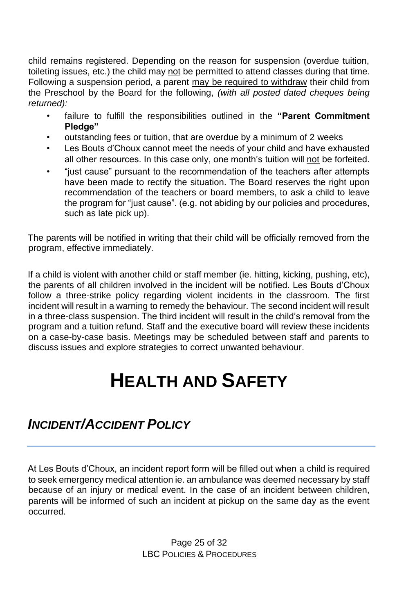child remains registered. Depending on the reason for suspension (overdue tuition, toileting issues, etc.) the child may not be permitted to attend classes during that time. Following a suspension period, a parent may be required to withdraw their child from the Preschool by the Board for the following, *(with all posted dated cheques being returned):*

- failure to fulfill the responsibilities outlined in the **"Parent Commitment Pledge"**
- outstanding fees or tuition, that are overdue by a minimum of 2 weeks
- Les Bouts d'Choux cannot meet the needs of your child and have exhausted all other resources. In this case only, one month's tuition will not be forfeited.
- "just cause" pursuant to the recommendation of the teachers after attempts have been made to rectify the situation. The Board reserves the right upon recommendation of the teachers or board members, to ask a child to leave the program for "just cause". (e.g. not abiding by our policies and procedures, such as late pick up).

The parents will be notified in writing that their child will be officially removed from the program, effective immediately.

If a child is violent with another child or staff member (ie. hitting, kicking, pushing, etc), the parents of all children involved in the incident will be notified. Les Bouts d'Choux follow a three-strike policy regarding violent incidents in the classroom. The first incident will result in a warning to remedy the behaviour. The second incident will result in a three-class suspension. The third incident will result in the child's removal from the program and a tuition refund. Staff and the executive board will review these incidents on a case-by-case basis. Meetings may be scheduled between staff and parents to discuss issues and explore strategies to correct unwanted behaviour.

# **HEALTH AND SAFETY**

# *INCIDENT/ACCIDENT POLICY*

At Les Bouts d'Choux, an incident report form will be filled out when a child is required to seek emergency medical attention ie. an ambulance was deemed necessary by staff because of an injury or medical event. In the case of an incident between children, parents will be informed of such an incident at pickup on the same day as the event occurred.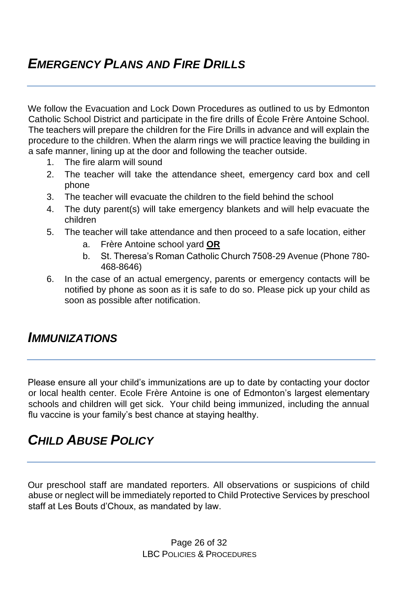# *EMERGENCY PLANS AND FIRE DRILLS*

We follow the Evacuation and Lock Down Procedures as outlined to us by Edmonton Catholic School District and participate in the fire drills of École Frère Antoine School. The teachers will prepare the children for the Fire Drills in advance and will explain the procedure to the children. When the alarm rings we will practice leaving the building in a safe manner, lining up at the door and following the teacher outside.

- 1. The fire alarm will sound
- 2. The teacher will take the attendance sheet, emergency card box and cell phone
- 3. The teacher will evacuate the children to the field behind the school
- 4. The duty parent(s) will take emergency blankets and will help evacuate the children
- 5. The teacher will take attendance and then proceed to a safe location, either
	- a. Frère Antoine school yard **OR**
	- b. St. Theresa's Roman Catholic Church 7508-29 Avenue (Phone 780- 468-8646)
- 6. In the case of an actual emergency, parents or emergency contacts will be notified by phone as soon as it is safe to do so. Please pick up your child as soon as possible after notification.

#### *IMMUNIZATIONS*

Please ensure all your child's immunizations are up to date by contacting your doctor or local health center. Ecole Frère Antoine is one of Edmonton's largest elementary schools and children will get sick. Your child being immunized, including the annual flu vaccine is your family's best chance at staying healthy.

### *CHILD ABUSE POLICY*

Our preschool staff are mandated reporters. All observations or suspicions of child abuse or neglect will be immediately reported to Child Protective Services by preschool staff at Les Bouts d'Choux, as mandated by law.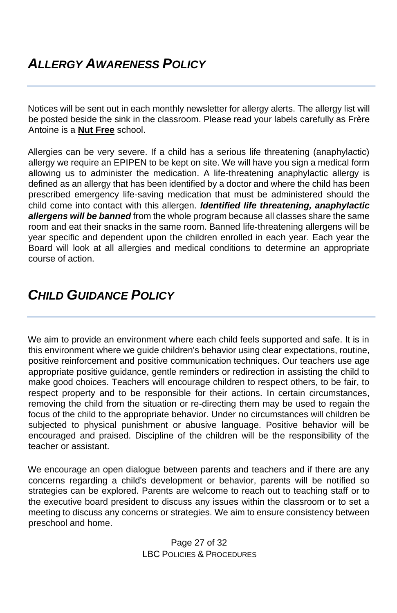Notices will be sent out in each monthly newsletter for allergy alerts. The allergy list will be posted beside the sink in the classroom. Please read your labels carefully as Frère Antoine is a **Nut Free** school.

Allergies can be very severe. If a child has a serious life threatening (anaphylactic) allergy we require an EPIPEN to be kept on site. We will have you sign a medical form allowing us to administer the medication. A life-threatening anaphylactic allergy is defined as an allergy that has been identified by a doctor and where the child has been prescribed emergency life-saving medication that must be administered should the child come into contact with this allergen. *Identified life threatening, anaphylactic allergens will be banned* from the whole program because all classes share the same room and eat their snacks in the same room. Banned life-threatening allergens will be year specific and dependent upon the children enrolled in each year. Each year the Board will look at all allergies and medical conditions to determine an appropriate course of action.

# *CHILD GUIDANCE POLICY*

We aim to provide an environment where each child feels supported and safe. It is in this environment where we guide children's behavior using clear expectations, routine, positive reinforcement and positive communication techniques. Our teachers use age appropriate positive guidance, gentle reminders or redirection in assisting the child to make good choices. Teachers will encourage children to respect others, to be fair, to respect property and to be responsible for their actions. In certain circumstances, removing the child from the situation or re-directing them may be used to regain the focus of the child to the appropriate behavior. Under no circumstances will children be subjected to physical punishment or abusive language. Positive behavior will be encouraged and praised. Discipline of the children will be the responsibility of the teacher or assistant.

We encourage an open dialogue between parents and teachers and if there are any concerns regarding a child's development or behavior, parents will be notified so strategies can be explored. Parents are welcome to reach out to teaching staff or to the executive board president to discuss any issues within the classroom or to set a meeting to discuss any concerns or strategies. We aim to ensure consistency between preschool and home.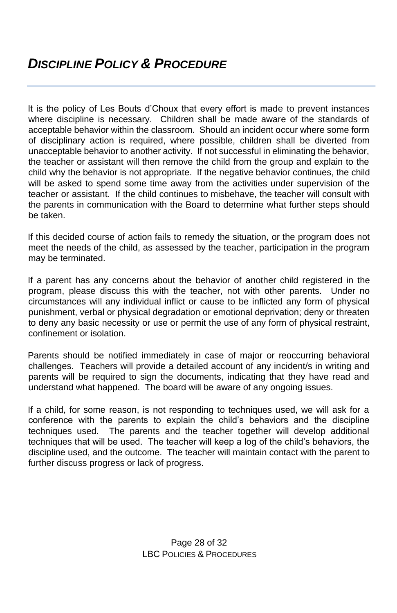It is the policy of Les Bouts d'Choux that every effort is made to prevent instances where discipline is necessary. Children shall be made aware of the standards of acceptable behavior within the classroom. Should an incident occur where some form of disciplinary action is required, where possible, children shall be diverted from unacceptable behavior to another activity. If not successful in eliminating the behavior, the teacher or assistant will then remove the child from the group and explain to the child why the behavior is not appropriate. If the negative behavior continues, the child will be asked to spend some time away from the activities under supervision of the teacher or assistant. If the child continues to misbehave, the teacher will consult with the parents in communication with the Board to determine what further steps should be taken.

If this decided course of action fails to remedy the situation, or the program does not meet the needs of the child, as assessed by the teacher, participation in the program may be terminated.

If a parent has any concerns about the behavior of another child registered in the program, please discuss this with the teacher, not with other parents. Under no circumstances will any individual inflict or cause to be inflicted any form of physical punishment, verbal or physical degradation or emotional deprivation; deny or threaten to deny any basic necessity or use or permit the use of any form of physical restraint, confinement or isolation.

Parents should be notified immediately in case of major or reoccurring behavioral challenges. Teachers will provide a detailed account of any incident/s in writing and parents will be required to sign the documents, indicating that they have read and understand what happened. The board will be aware of any ongoing issues.

If a child, for some reason, is not responding to techniques used, we will ask for a conference with the parents to explain the child's behaviors and the discipline techniques used. The parents and the teacher together will develop additional techniques that will be used. The teacher will keep a log of the child's behaviors, the discipline used, and the outcome. The teacher will maintain contact with the parent to further discuss progress or lack of progress.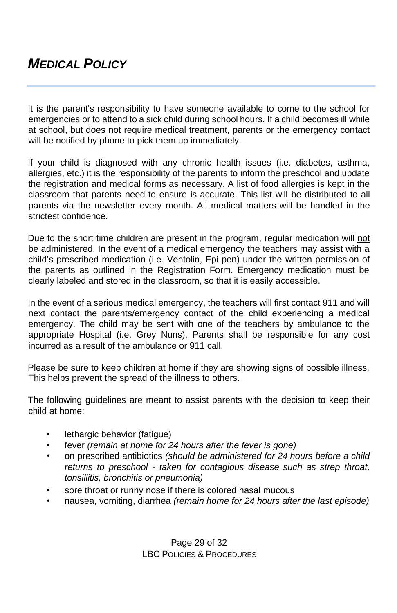## *MEDICAL POLICY*

It is the parent's responsibility to have someone available to come to the school for emergencies or to attend to a sick child during school hours. If a child becomes ill while at school, but does not require medical treatment, parents or the emergency contact will be notified by phone to pick them up immediately.

If your child is diagnosed with any chronic health issues (i.e. diabetes, asthma, allergies, etc.) it is the responsibility of the parents to inform the preschool and update the registration and medical forms as necessary. A list of food allergies is kept in the classroom that parents need to ensure is accurate. This list will be distributed to all parents via the newsletter every month. All medical matters will be handled in the strictest confidence.

Due to the short time children are present in the program, regular medication will not be administered. In the event of a medical emergency the teachers may assist with a child's prescribed medication (i.e. Ventolin, Epi-pen) under the written permission of the parents as outlined in the Registration Form. Emergency medication must be clearly labeled and stored in the classroom, so that it is easily accessible.

In the event of a serious medical emergency, the teachers will first contact 911 and will next contact the parents/emergency contact of the child experiencing a medical emergency. The child may be sent with one of the teachers by ambulance to the appropriate Hospital (i.e. Grey Nuns). Parents shall be responsible for any cost incurred as a result of the ambulance or 911 call.

Please be sure to keep children at home if they are showing signs of possible illness. This helps prevent the spread of the illness to others.

The following guidelines are meant to assist parents with the decision to keep their child at home:

- lethargic behavior (fatigue)
- fever *(remain at home for 24 hours after the fever is gone)*
- on prescribed antibiotics *(should be administered for 24 hours before a child returns to preschool - taken for contagious disease such as strep throat, tonsillitis, bronchitis or pneumonia)*
- sore throat or runny nose if there is colored nasal mucous
- nausea, vomiting, diarrhea *(remain home for 24 hours after the last episode)*

Page 29 of 32 LBC POLICIES & PROCEDURES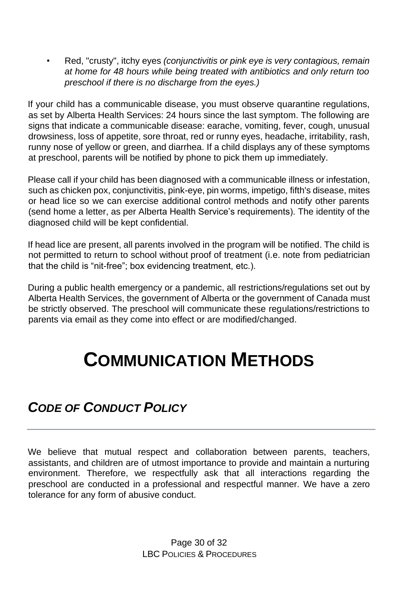• Red, "crusty", itchy eyes *(conjunctivitis or pink eye is very contagious, remain at home for 48 hours while being treated with antibiotics and only return too preschool if there is no discharge from the eyes.)* 

If your child has a communicable disease, you must observe quarantine regulations, as set by Alberta Health Services: 24 hours since the last symptom. The following are signs that indicate a communicable disease: earache, vomiting, fever, cough, unusual drowsiness, loss of appetite, sore throat, red or runny eyes, headache, irritability, rash, runny nose of yellow or green, and diarrhea. If a child displays any of these symptoms at preschool, parents will be notified by phone to pick them up immediately.

Please call if your child has been diagnosed with a communicable illness or infestation, such as chicken pox, conjunctivitis, pink-eye, pin worms, impetigo, fifth's disease, mites or head lice so we can exercise additional control methods and notify other parents (send home a letter, as per Alberta Health Service's requirements). The identity of the diagnosed child will be kept confidential.

If head lice are present, all parents involved in the program will be notified. The child is not permitted to return to school without proof of treatment (i.e. note from pediatrician that the child is "nit-free"; box evidencing treatment, etc.).

During a public health emergency or a pandemic, all restrictions/regulations set out by Alberta Health Services, the government of Alberta or the government of Canada must be strictly observed. The preschool will communicate these regulations/restrictions to parents via email as they come into effect or are modified/changed.

# **COMMUNICATION METHODS**

# *CODE OF CONDUCT POLICY*

We believe that mutual respect and collaboration between parents, teachers, assistants, and children are of utmost importance to provide and maintain a nurturing environment. Therefore, we respectfully ask that all interactions regarding the preschool are conducted in a professional and respectful manner. We have a zero tolerance for any form of abusive conduct.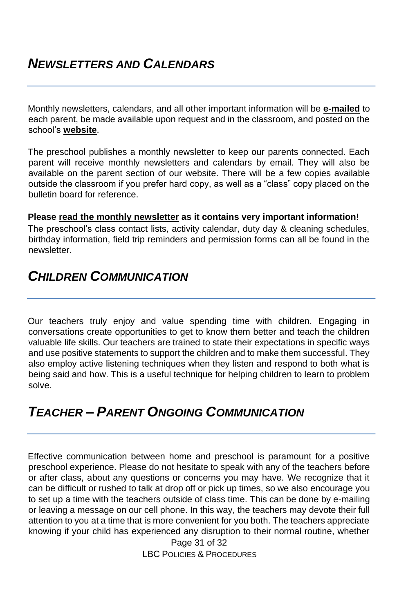Monthly newsletters, calendars, and all other important information will be **e-mailed** to each parent, be made available upon request and in the classroom, and posted on the school's **website**.

The preschool publishes a monthly newsletter to keep our parents connected. Each parent will receive monthly newsletters and calendars by email. They will also be available on the parent section of our website. There will be a few copies available outside the classroom if you prefer hard copy, as well as a "class" copy placed on the bulletin board for reference.

#### **Please read the monthly newsletter as it contains very important information**!

The preschool's class contact lists, activity calendar, duty day & cleaning schedules, birthday information, field trip reminders and permission forms can all be found in the newsletter.

#### *CHILDREN COMMUNICATION*

Our teachers truly enjoy and value spending time with children. Engaging in conversations create opportunities to get to know them better and teach the children valuable life skills. Our teachers are trained to state their expectations in specific ways and use positive statements to support the children and to make them successful. They also employ active listening techniques when they listen and respond to both what is being said and how. This is a useful technique for helping children to learn to problem solve.

### *TEACHER – PARENT ONGOING COMMUNICATION*

Effective communication between home and preschool is paramount for a positive preschool experience. Please do not hesitate to speak with any of the teachers before or after class, about any questions or concerns you may have. We recognize that it can be difficult or rushed to talk at drop off or pick up times, so we also encourage you to set up a time with the teachers outside of class time. This can be done by e-mailing or leaving a message on our cell phone. In this way, the teachers may devote their full attention to you at a time that is more convenient for you both. The teachers appreciate knowing if your child has experienced any disruption to their normal routine, whether

> Page 31 of 32 LBC POLICIES & PROCEDURES